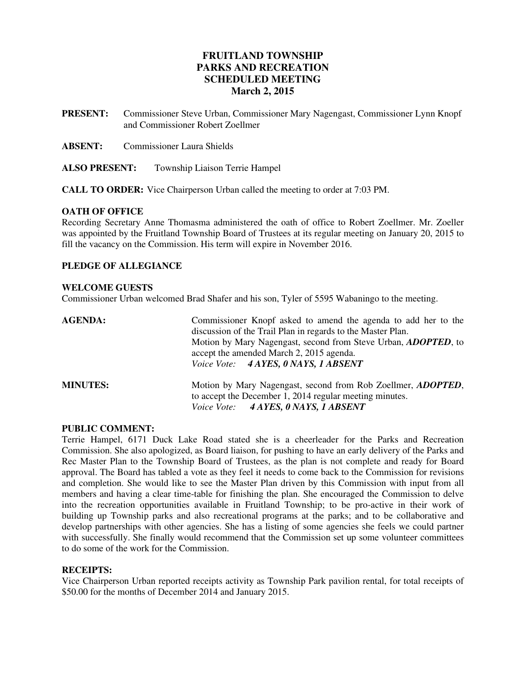# **FRUITLAND TOWNSHIP PARKS AND RECREATION SCHEDULED MEETING March 2, 2015**

- **PRESENT:** Commissioner Steve Urban, Commissioner Mary Nagengast, Commissioner Lynn Knopf and Commissioner Robert Zoellmer
- **ABSENT:** Commissioner Laura Shields
- **ALSO PRESENT:** Township Liaison Terrie Hampel

**CALL TO ORDER:** Vice Chairperson Urban called the meeting to order at 7:03 PM.

#### **OATH OF OFFICE**

Recording Secretary Anne Thomasma administered the oath of office to Robert Zoellmer. Mr. Zoeller was appointed by the Fruitland Township Board of Trustees at its regular meeting on January 20, 2015 to fill the vacancy on the Commission. His term will expire in November 2016.

#### **PLEDGE OF ALLEGIANCE**

#### **WELCOME GUESTS**

Commissioner Urban welcomed Brad Shafer and his son, Tyler of 5595 Wabaningo to the meeting.

| <b>AGENDA:</b>  | Commissioner Knopf asked to amend the agenda to add her to the<br>discussion of the Trail Plan in regards to the Master Plan.<br>Motion by Mary Nagengast, second from Steve Urban, <i>ADOPTED</i> , to<br>accept the amended March 2, 2015 agenda.<br>Voice Vote: 4 AYES, 0 NAYS, 1 ABSENT |
|-----------------|---------------------------------------------------------------------------------------------------------------------------------------------------------------------------------------------------------------------------------------------------------------------------------------------|
| <b>MINUTES:</b> | Motion by Mary Nagengast, second from Rob Zoellmer, <i>ADOPTED</i> ,<br>to accept the December 1, 2014 regular meeting minutes.<br>Voice Vote: 4 AYES, 0 NAYS, 1 ABSENT                                                                                                                     |

#### **PUBLIC COMMENT:**

Terrie Hampel, 6171 Duck Lake Road stated she is a cheerleader for the Parks and Recreation Commission. She also apologized, as Board liaison, for pushing to have an early delivery of the Parks and Rec Master Plan to the Township Board of Trustees, as the plan is not complete and ready for Board approval. The Board has tabled a vote as they feel it needs to come back to the Commission for revisions and completion. She would like to see the Master Plan driven by this Commission with input from all members and having a clear time-table for finishing the plan. She encouraged the Commission to delve into the recreation opportunities available in Fruitland Township; to be pro-active in their work of building up Township parks and also recreational programs at the parks; and to be collaborative and develop partnerships with other agencies. She has a listing of some agencies she feels we could partner with successfully. She finally would recommend that the Commission set up some volunteer committees to do some of the work for the Commission.

#### **RECEIPTS:**

Vice Chairperson Urban reported receipts activity as Township Park pavilion rental, for total receipts of \$50.00 for the months of December 2014 and January 2015.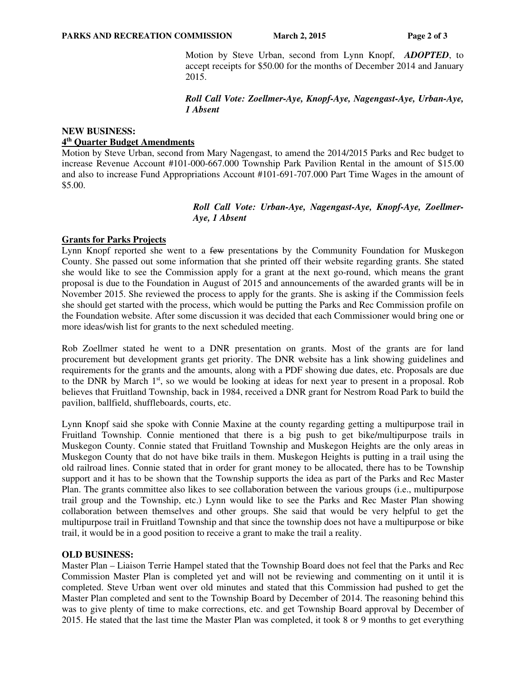Motion by Steve Urban, second from Lynn Knopf, *ADOPTED*, to accept receipts for \$50.00 for the months of December 2014 and January 2015.

 *Roll Call Vote: Zoellmer-Aye, Knopf-Aye, Nagengast-Aye, Urban-Aye, 1 Absent*

## **NEW BUSINESS: 4 th Quarter Budget Amendments**

Motion by Steve Urban, second from Mary Nagengast, to amend the 2014/2015 Parks and Rec budget to increase Revenue Account #101-000-667.000 Township Park Pavilion Rental in the amount of \$15.00 and also to increase Fund Appropriations Account #101-691-707.000 Part Time Wages in the amount of \$5.00.

> *Roll Call Vote: Urban-Aye, Nagengast-Aye, Knopf-Aye, Zoellmer-Aye, 1 Absent*

## **Grants for Parks Projects**

Lynn Knopf reported she went to a few presentations by the Community Foundation for Muskegon County. She passed out some information that she printed off their website regarding grants. She stated she would like to see the Commission apply for a grant at the next go-round, which means the grant proposal is due to the Foundation in August of 2015 and announcements of the awarded grants will be in November 2015. She reviewed the process to apply for the grants. She is asking if the Commission feels she should get started with the process, which would be putting the Parks and Rec Commission profile on the Foundation website. After some discussion it was decided that each Commissioner would bring one or more ideas/wish list for grants to the next scheduled meeting.

Rob Zoellmer stated he went to a DNR presentation on grants. Most of the grants are for land procurement but development grants get priority. The DNR website has a link showing guidelines and requirements for the grants and the amounts, along with a PDF showing due dates, etc. Proposals are due to the DNR by March 1<sup>st</sup>, so we would be looking at ideas for next year to present in a proposal. Rob believes that Fruitland Township, back in 1984, received a DNR grant for Nestrom Road Park to build the pavilion, ballfield, shuffleboards, courts, etc.

Lynn Knopf said she spoke with Connie Maxine at the county regarding getting a multipurpose trail in Fruitland Township. Connie mentioned that there is a big push to get bike/multipurpose trails in Muskegon County. Connie stated that Fruitland Township and Muskegon Heights are the only areas in Muskegon County that do not have bike trails in them. Muskegon Heights is putting in a trail using the old railroad lines. Connie stated that in order for grant money to be allocated, there has to be Township support and it has to be shown that the Township supports the idea as part of the Parks and Rec Master Plan. The grants committee also likes to see collaboration between the various groups (i.e., multipurpose trail group and the Township, etc.) Lynn would like to see the Parks and Rec Master Plan showing collaboration between themselves and other groups. She said that would be very helpful to get the multipurpose trail in Fruitland Township and that since the township does not have a multipurpose or bike trail, it would be in a good position to receive a grant to make the trail a reality.

## **OLD BUSINESS:**

Master Plan – Liaison Terrie Hampel stated that the Township Board does not feel that the Parks and Rec Commission Master Plan is completed yet and will not be reviewing and commenting on it until it is completed. Steve Urban went over old minutes and stated that this Commission had pushed to get the Master Plan completed and sent to the Township Board by December of 2014. The reasoning behind this was to give plenty of time to make corrections, etc. and get Township Board approval by December of 2015. He stated that the last time the Master Plan was completed, it took 8 or 9 months to get everything